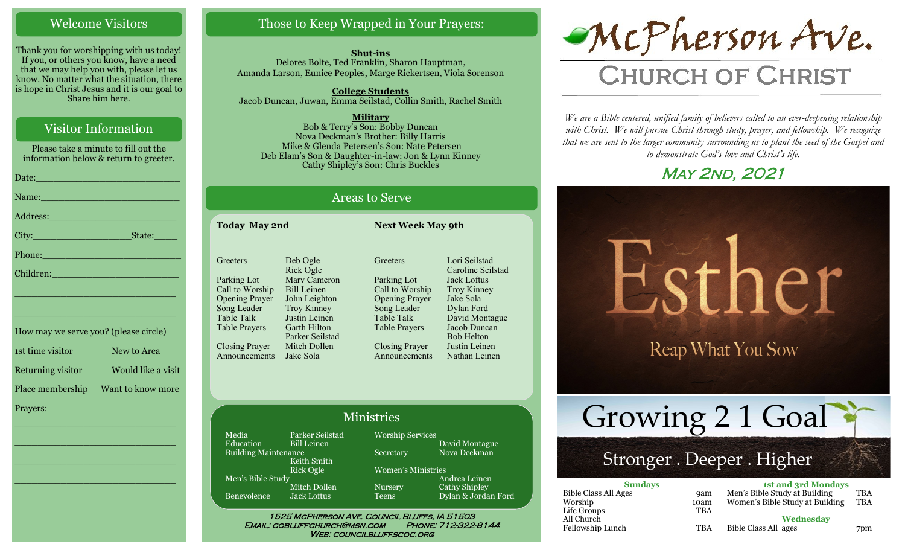#### Welcome Visitors

Thank you for worshipping with us today! If you, or others you know, have a need that we may help you with, please let us know. No matter what the situation, there is hope in Christ Jesus and it is our goal to Share him here.

#### Visitor Information

Please take a minute to fill out the information below & return to greeter. Date:\_\_\_\_\_\_\_\_\_\_\_\_\_\_\_\_\_\_\_\_\_\_\_\_\_ Name: Address:\_\_\_\_\_\_\_\_\_\_\_\_\_\_\_\_\_\_\_\_\_\_ City: State: Phone: Children: \_\_\_\_\_\_\_\_\_\_\_\_\_\_\_\_\_\_\_\_\_\_\_\_\_\_\_\_

How may we serve you? (please circle) 1st time visitor New to Area Returning visitor Would like a visit Place membership Want to know more Prayers:

\_\_\_\_\_\_\_\_\_\_\_\_\_\_\_\_\_\_\_\_\_\_\_\_\_\_\_\_

\_\_\_\_\_\_\_\_\_\_\_\_\_\_\_\_\_\_\_\_\_\_\_\_\_\_\_\_

 $\overline{\phantom{a}}$  , and the set of the set of the set of the set of the set of the set of the set of the set of the set of the set of the set of the set of the set of the set of the set of the set of the set of the set of the s

\_\_\_\_\_\_\_\_\_\_\_\_\_\_\_\_\_\_\_\_\_\_\_\_\_\_\_\_

\_\_\_\_\_\_\_\_\_\_\_\_\_\_\_\_\_\_\_\_\_\_\_\_\_\_\_\_

#### Those to Keep Wrapped in Your Prayers:

**Shut-ins** Delores Bolte, Ted Franklin, Sharon Hauptman, Amanda Larson, Eunice Peoples, Marge Rickertsen, Viola Sorenson

**College Students**  Jacob Duncan, Juwan, Emma Seilstad, Collin Smith, Rachel Smith

**Military** Bob & Terry's Son: Bobby Duncan Nova Deckman's Brother: Billy Harris Mike & Glenda Petersen's Son: Nate Petersen Deb Elam's Son & Daughter-in-law: Jon & Lynn Kinney Cathy Shipley's Son: Chris Buckles

#### Areas to Serve

**Today May 2nd Next Week May 9th Greeters** Parking Lot Call to Worship Opening Prayer Song Leader Table Talk Table Prayers Closing Prayer Announcements Deb Ogle Rick Ogle Marv Cameron Bill Leinen John Leighton Troy Kinney Justin Leinen Garth Hilton Parker Seilstad Mitch Dollen Jake Sola **Greeters** 

Parking Lot Call to Worship Opening Prayer Song Leader Table Talk Table Prayers Closing Prayer Announcements Lori Seilstad Caroline Seilstad Jack Loftus Troy Kinney Jake Sola Dylan Ford David Montague Jacob Duncan Bob Helton Justin Leinen Nathan Leinen

#### Ministries

Media Parker Seilstad<br>Education Bill Leinen Bill Leinen Building Maintenance Keith Smith Rick Ogle Men's Bible Study Mitch Dollen Benevolence Jack Loftus

Worship Services David Montague Secretary Nova Deckman Women's Ministries Andrea Leinen Nursery Cathy Shipley

1525 McPherson Ave. Council Bluffs, IA 51503 Teens Dylan & Jordan Ford

Email: cobluffchurch@msn.com Phone: 712-322-8144 WEB: COUNCILBLUFFSCOC.ORG



# **CHURCH OF CHRIST**

*We are a Bible centered, unified family of believers called to an ever-deepening relationship*  with Christ. We will pursue Christ through study, prayer, and fellowship. We recognize *that we are sent to the larger community surrounding us to plant the seed of the Gospel and to demonstrate God's love and Christ's life.*

## **MAY 2ND, 2021**



| <b>Sundays</b>              |      | <b>1st and 3rd Mondays</b>      |            |
|-----------------------------|------|---------------------------------|------------|
| <b>Bible Class All Ages</b> | 9am  | Men's Bible Study at Building   | TBA        |
| Worship                     | 10am | Women's Bible Study at Building | <b>TBA</b> |
| Life Groups                 | TBA  |                                 |            |
| All Church                  |      | Wednesday                       |            |
| Fellowship Lunch            | TBA  | Bible Class All ages            | 7pm        |